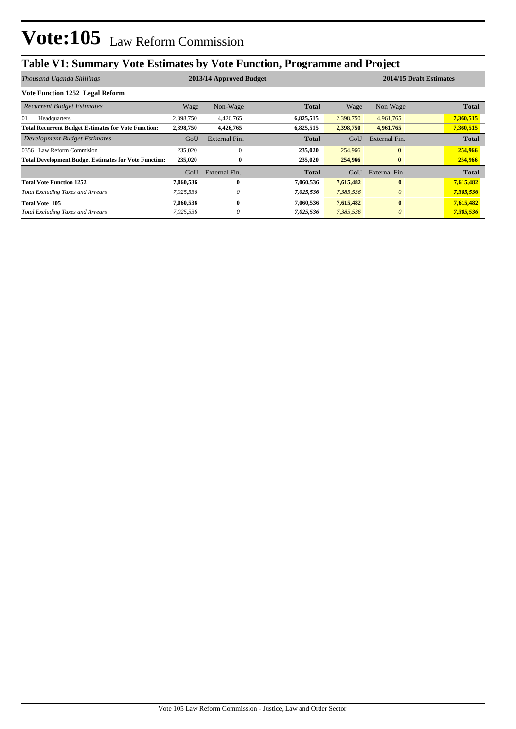## **Table V1: Summary Vote Estimates by Vote Function, Programme and Project**

| Thousand Uganda Shillings                                    | 2013/14 Approved Budget |               |              |           | 2014/15 Draft Estimates |              |  |
|--------------------------------------------------------------|-------------------------|---------------|--------------|-----------|-------------------------|--------------|--|
| Vote Function 1252 Legal Reform                              |                         |               |              |           |                         |              |  |
| <b>Recurrent Budget Estimates</b>                            | Wage                    | Non-Wage      | <b>Total</b> | Wage      | Non Wage                | <b>Total</b> |  |
| 01<br>Headquarters                                           | 2,398,750               | 4,426,765     | 6,825,515    | 2,398,750 | 4,961,765               | 7,360,515    |  |
| <b>Total Recurrent Budget Estimates for Vote Function:</b>   | 2,398,750               | 4,426,765     | 6,825,515    | 2,398,750 | 4,961,765               | 7,360,515    |  |
| Development Budget Estimates                                 | GoU                     | External Fin. | <b>Total</b> | GoU       | External Fin.           | <b>Total</b> |  |
| 0356 Law Reform Commision                                    | 235,020                 | $\Omega$      | 235,020      | 254,966   | $\mathbf{0}$            | 254,966      |  |
| <b>Total Development Budget Estimates for Vote Function:</b> | 235,020                 | $\bf{0}$      | 235,020      | 254,966   | $\bf{0}$                | 254,966      |  |
|                                                              | GoU                     | External Fin. | Total        | GoU       | External Fin            | <b>Total</b> |  |
| <b>Total Vote Function 1252</b>                              | 7,060,536               | $\mathbf{0}$  | 7,060,536    | 7,615,482 | $\bf{0}$                | 7,615,482    |  |
| <b>Total Excluding Taxes and Arrears</b>                     | 7,025,536               | 0             | 7,025,536    | 7,385,536 | $\theta$                | 7,385,536    |  |
| <b>Total Vote 105</b>                                        | 7,060,536               | $\mathbf{0}$  | 7,060,536    | 7,615,482 | $\bf{0}$                | 7,615,482    |  |
| <b>Total Excluding Taxes and Arrears</b>                     | 7,025,536               | $\theta$      | 7,025,536    | 7,385,536 | $\theta$                | 7,385,536    |  |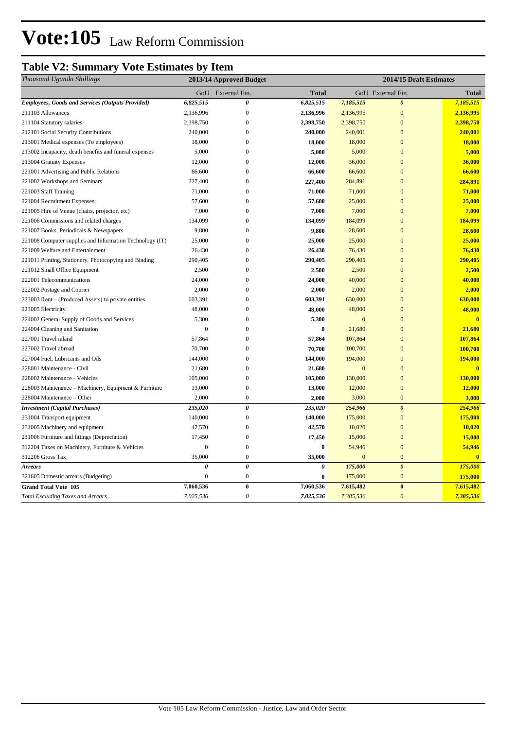## **Table V2: Summary Vote Estimates by Item**

| Thousand Uganda Shillings                                | 2013/14 Approved Budget |                       |                       | 2014/15 Draft Estimates |                       |                         |  |
|----------------------------------------------------------|-------------------------|-----------------------|-----------------------|-------------------------|-----------------------|-------------------------|--|
|                                                          |                         | GoU External Fin.     | <b>Total</b>          |                         | GoU External Fin.     | <b>Total</b>            |  |
| <b>Employees, Goods and Services (Outputs Provided)</b>  | 6,825,515               | $\pmb{\theta}$        | 6,825,515             | 7,185,515               | $\theta$              | 7,185,515               |  |
| 211103 Allowances                                        | 2,136,996               | $\boldsymbol{0}$      | 2,136,996             | 2,136,995               | $\overline{0}$        | 2,136,995               |  |
| 211104 Statutory salaries                                | 2,398,750               | $\boldsymbol{0}$      | 2,398,750             | 2,398,750               | $\mathbf{0}$          | 2,398,750               |  |
| 212101 Social Security Contributions                     | 240,000                 | $\mathbf{0}$          | 240,000               | 240,001                 | $\overline{0}$        | 240,001                 |  |
| 213001 Medical expenses (To employees)                   | 18,000                  | $\boldsymbol{0}$      | 18,000                | 18,000                  | $\overline{0}$        | 18,000                  |  |
| 213002 Incapacity, death benefits and funeral expenses   | 5,000                   | $\overline{0}$        | 5,000                 | 5,000                   | $\overline{0}$        | 5,000                   |  |
| 213004 Gratuity Expenses                                 | 12,000                  | $\Omega$              | 12,000                | 36,000                  | $\theta$              | 36,000                  |  |
| 221001 Advertising and Public Relations                  | 66,600                  | $\mathbf{0}$          | 66,600                | 66,600                  | $\mathbf{0}$          | 66,600                  |  |
| 221002 Workshops and Seminars                            | 227,400                 | $\Omega$              | 227,400               | 284,891                 | $\overline{0}$        | 284,891                 |  |
| 221003 Staff Training                                    | 71,000                  | $\mathbf{0}$          | 71,000                | 71,000                  | $\theta$              | 71,000                  |  |
| 221004 Recruitment Expenses                              | 57,600                  | $\mathbf{0}$          | 57,600                | 25,000                  | $\overline{0}$        | 25,000                  |  |
| 221005 Hire of Venue (chairs, projector, etc)            | 7,000                   | $\mathbf{0}$          | 7,000                 | 7,000                   | $\overline{0}$        | 7,000                   |  |
| 221006 Commissions and related charges                   | 134,099                 | $\mathbf{0}$          | 134,099               | 184,099                 | $\overline{0}$        | 184,099                 |  |
| 221007 Books, Periodicals & Newspapers                   | 9,800                   | $\Omega$              | 9,800                 | 28,600                  | $\overline{0}$        | 28,600                  |  |
| 221008 Computer supplies and Information Technology (IT) | 25,000                  | $\mathbf{0}$          | 25,000                | 25,000                  | $\mathbf{0}$          | 25,000                  |  |
| 221009 Welfare and Entertainment                         | 26,430                  | $\Omega$              | 26,430                | 76,430                  | $\Omega$              | 76,430                  |  |
| 221011 Printing, Stationery, Photocopying and Binding    | 290,405                 | $\mathbf{0}$          | 290,405               | 290,405                 | $\overline{0}$        | 290,405                 |  |
| 221012 Small Office Equipment                            | 2,500                   | $\mathbf{0}$          | 2,500                 | 2,500                   | $\overline{0}$        | 2,500                   |  |
| 222001 Telecommunications                                | 24,000                  | $\mathbf{0}$          | 24,000                | 40,000                  | $\overline{0}$        | 40,000                  |  |
| 222002 Postage and Courier                               | 2,000                   | $\mathbf{0}$          | 2,000                 | 2,000                   | $\overline{0}$        | 2,000                   |  |
| 223003 Rent – (Produced Assets) to private entities      | 603,391                 | $\Omega$              | 603,391               | 630,000                 | $\overline{0}$        | 630,000                 |  |
| 223005 Electricity                                       | 48,000                  | $\mathbf{0}$          | 48,000                | 48,000                  | $\Omega$              | 48,000                  |  |
| 224002 General Supply of Goods and Services              | 5,300                   | $\mathbf{0}$          | 5,300                 | $\mathbf{0}$            | $\overline{0}$        | $\mathbf{0}$            |  |
| 224004 Cleaning and Sanitation                           | $\mathbf{0}$            | $\mathbf{0}$          | $\bf{0}$              | 21,680                  | $\overline{0}$        | 21,680                  |  |
| 227001 Travel inland                                     | 57,864                  | $\mathbf{0}$          | 57,864                | 107,864                 | $\mathbf{0}$          | 107,864                 |  |
| 227002 Travel abroad                                     | 70,700                  | $\mathbf{0}$          | 70,700                | 100,700                 | $\Omega$              | 100,700                 |  |
| 227004 Fuel, Lubricants and Oils                         | 144,000                 | $\mathbf{0}$          | 144,000               | 194,000                 | $\Omega$              | 194,000                 |  |
| 228001 Maintenance - Civil                               | 21,680                  | $\mathbf{0}$          | 21,680                | $\mathbf{0}$            | $\overline{0}$        | $\overline{0}$          |  |
| 228002 Maintenance - Vehicles                            | 105,000                 | $\boldsymbol{0}$      | 105,000               | 130,000                 | $\overline{0}$        | 130,000                 |  |
| 228003 Maintenance - Machinery, Equipment & Furniture    | 13,000                  | $\boldsymbol{0}$      | 13,000                | 12,000                  | $\overline{0}$        | 12,000                  |  |
| 228004 Maintenance – Other                               | 2,000                   | $\boldsymbol{0}$      | 2,000                 | 3,000                   | $\mathbf{0}$          | 3,000                   |  |
| <b>Investment</b> (Capital Purchases)                    | 235,020                 | 0                     | 235,020               | 254,966                 | $\boldsymbol{\theta}$ | 254,966                 |  |
| 231004 Transport equipment                               | 140,000                 | $\mathbf{0}$          | 140,000               | 175,000                 | $\overline{0}$        | 175,000                 |  |
| 231005 Machinery and equipment                           | 42,570                  | $\overline{0}$        | 42,570                | 10,020                  | $\overline{0}$        | 10,020                  |  |
| 231006 Furniture and fittings (Depreciation)             | 17,450                  | $\boldsymbol{0}$      | 17,450                | 15,000                  | $\mathbf{0}$          | 15,000                  |  |
| 312204 Taxes on Machinery, Furniture & Vehicles          | $\boldsymbol{0}$        | $\boldsymbol{0}$      | $\bf{0}$              | 54,946                  | $\mathbf{0}$          | 54,946                  |  |
| 312206 Gross Tax                                         | 35,000                  | $\boldsymbol{0}$      | 35,000                | $\overline{0}$          | $\mathbf{0}$          | $\overline{\mathbf{0}}$ |  |
| <b>Arrears</b>                                           | $\boldsymbol{\theta}$   | $\pmb{\theta}$        | $\boldsymbol{\theta}$ | 175,000                 | $\boldsymbol{\theta}$ | 175,000                 |  |
| 321605 Domestic arrears (Budgeting)                      | $\overline{0}$          | $\boldsymbol{0}$      | $\bf{0}$              | 175,000                 | $\mathbf{0}$          | 175,000                 |  |
| <b>Grand Total Vote 105</b>                              | 7,060,536               | $\bf{0}$              | 7,060,536             | 7,615,482               | $\bf{0}$              | 7,615,482               |  |
| <b>Total Excluding Taxes and Arrears</b>                 | 7,025,536               | $\boldsymbol{\theta}$ | 7,025,536             | 7,385,536               | $\boldsymbol{\theta}$ | 7,385,536               |  |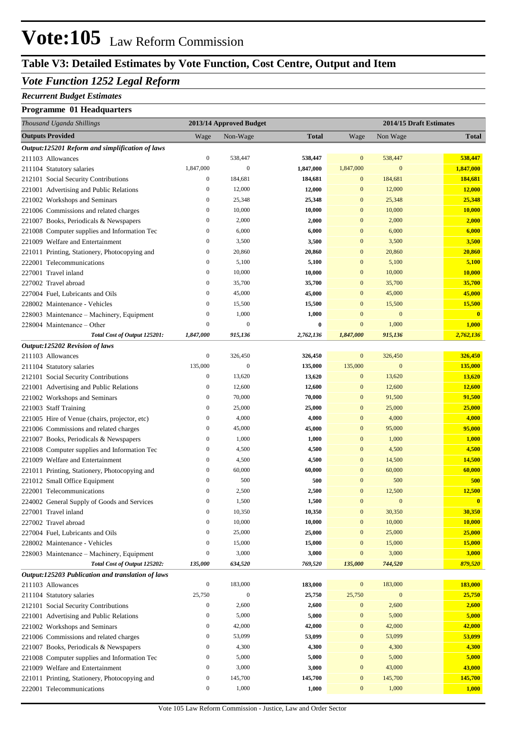## **Table V3: Detailed Estimates by Vote Function, Cost Centre, Output and Item**

### *Vote Function 1252 Legal Reform*

#### *Recurrent Budget Estimates*

### **Programme 01 Headquarters**

| Thousand Uganda Shillings                                                      |                                      | 2013/14 Approved Budget |               |                              | 2014/15 Draft Estimates |               |
|--------------------------------------------------------------------------------|--------------------------------------|-------------------------|---------------|------------------------------|-------------------------|---------------|
| <b>Outputs Provided</b>                                                        | Wage                                 | Non-Wage                | <b>Total</b>  | Wage                         | Non Wage                | <b>Total</b>  |
| Output:125201 Reform and simplification of laws                                |                                      |                         |               |                              |                         |               |
| 211103 Allowances                                                              | $\boldsymbol{0}$                     | 538,447                 | 538,447       | $\mathbf{0}$                 | 538,447                 | 538,447       |
| 211104 Statutory salaries                                                      | 1,847,000                            | $\mathbf{0}$            | 1,847,000     | 1,847,000                    | $\boldsymbol{0}$        | 1,847,000     |
| 212101 Social Security Contributions                                           | $\boldsymbol{0}$                     | 184,681                 | 184,681       | $\mathbf{0}$                 | 184,681                 | 184,681       |
| 221001 Advertising and Public Relations                                        | $\boldsymbol{0}$                     | 12,000                  | 12,000        | $\mathbf{0}$                 | 12,000                  | 12,000        |
| 221002 Workshops and Seminars                                                  | $\boldsymbol{0}$                     | 25,348                  | 25,348        | $\mathbf{0}$                 | 25,348                  | 25,348        |
| 221006 Commissions and related charges                                         | $\boldsymbol{0}$                     | 10,000                  | 10,000        | $\mathbf{0}$                 | 10,000                  | 10,000        |
| 221007 Books, Periodicals & Newspapers                                         | $\boldsymbol{0}$                     | 2,000                   | 2,000         | $\mathbf{0}$                 | 2,000                   | 2,000         |
| 221008 Computer supplies and Information Tec                                   | $\boldsymbol{0}$                     | 6,000                   | 6,000         | $\mathbf{0}$                 | 6,000                   | 6,000         |
| 221009 Welfare and Entertainment                                               | $\boldsymbol{0}$                     | 3,500                   | 3,500         | $\mathbf{0}$                 | 3,500                   | 3,500         |
| 221011 Printing, Stationery, Photocopying and                                  | $\boldsymbol{0}$                     | 20,860                  | 20,860        | $\mathbf{0}$                 | 20,860                  | 20,860        |
| 222001 Telecommunications                                                      | $\boldsymbol{0}$                     | 5,100                   | 5,100         | $\mathbf{0}$                 | 5,100                   | 5,100         |
| 227001 Travel inland                                                           | $\boldsymbol{0}$                     | 10,000                  | 10,000        | $\mathbf{0}$                 | 10,000                  | 10,000        |
| 227002 Travel abroad                                                           | $\boldsymbol{0}$                     | 35,700                  | 35,700        | $\mathbf{0}$                 | 35,700                  | 35,700        |
| 227004 Fuel, Lubricants and Oils                                               | $\boldsymbol{0}$                     | 45,000                  | 45,000        | $\mathbf{0}$                 | 45,000                  | 45,000        |
| 228002 Maintenance - Vehicles                                                  | $\boldsymbol{0}$                     | 15,500                  | 15,500        | $\mathbf{0}$                 | 15,500                  | 15,500        |
| 228003 Maintenance - Machinery, Equipment                                      | $\boldsymbol{0}$                     | 1,000                   | 1,000         | $\mathbf{0}$                 | $\boldsymbol{0}$        | $\mathbf{0}$  |
| 228004 Maintenance – Other                                                     | $\mathbf{0}$                         | $\mathbf{0}$            | $\bf{0}$      | $\mathbf{0}$                 | 1,000                   | 1,000         |
| Total Cost of Output 125201:                                                   | 1,847,000                            | 915,136                 | 2,762,136     | 1,847,000                    | 915,136                 | 2,762,136     |
| Output:125202 Revision of laws                                                 |                                      |                         |               |                              |                         |               |
| 211103 Allowances                                                              | $\boldsymbol{0}$                     | 326,450                 | 326,450       | $\bf{0}$                     | 326,450                 | 326,450       |
| 211104 Statutory salaries                                                      | 135,000                              | $\mathbf{0}$            | 135,000       | 135,000                      | $\boldsymbol{0}$        | 135,000       |
| 212101 Social Security Contributions                                           | $\boldsymbol{0}$                     | 13,620                  | 13,620        | $\mathbf{0}$                 | 13,620                  | 13,620        |
| 221001 Advertising and Public Relations                                        | $\boldsymbol{0}$                     | 12,600                  | 12,600        | $\mathbf{0}$                 | 12,600                  | 12,600        |
| 221002 Workshops and Seminars                                                  | $\boldsymbol{0}$                     | 70,000                  | 70,000        | $\mathbf{0}$                 | 91,500                  | 91,500        |
| 221003 Staff Training                                                          | $\boldsymbol{0}$                     | 25,000                  | 25,000        | $\mathbf{0}$                 | 25,000                  | 25,000        |
| 221005 Hire of Venue (chairs, projector, etc)                                  | $\boldsymbol{0}$                     | 4,000                   | 4,000         | $\mathbf{0}$                 | 4,000                   | 4,000         |
| 221006 Commissions and related charges                                         | $\boldsymbol{0}$                     | 45,000                  | 45,000        | $\mathbf{0}$                 | 95,000                  | 95,000        |
| 221007 Books, Periodicals & Newspapers                                         | $\boldsymbol{0}$                     | 1,000                   | 1,000         | $\mathbf{0}$                 | 1,000                   | 1,000         |
| 221008 Computer supplies and Information Tec                                   | $\boldsymbol{0}$                     | 4,500                   | 4,500         | $\mathbf{0}$                 | 4,500                   | 4,500         |
| 221009 Welfare and Entertainment                                               | $\boldsymbol{0}$                     | 4,500                   | 4,500         | $\mathbf{0}$                 | 14,500                  | 14,500        |
| 221011 Printing, Stationery, Photocopying and<br>221012 Small Office Equipment | $\boldsymbol{0}$<br>$\boldsymbol{0}$ | 60,000<br>500           | 60,000<br>500 | $\mathbf{0}$<br>$\mathbf{0}$ | 60,000<br>500           | 60,000<br>500 |
| 222001 Telecommunications                                                      | $\boldsymbol{0}$                     | 2,500                   | 2,500         | $\mathbf{0}$                 | 12,500                  | 12,500        |
| 224002 General Supply of Goods and Services                                    | $\boldsymbol{0}$                     | 1,500                   | 1,500         | $\mathbf{0}$                 | $\boldsymbol{0}$        | $\mathbf{0}$  |
| 227001 Travel inland                                                           | $\boldsymbol{0}$                     | 10,350                  | 10,350        | $\boldsymbol{0}$             | 30,350                  | 30,350        |
| 227002 Travel abroad                                                           | $\boldsymbol{0}$                     | 10,000                  | 10,000        | $\mathbf{0}$                 | 10,000                  | 10,000        |
| 227004 Fuel, Lubricants and Oils                                               | $\boldsymbol{0}$                     | 25,000                  | 25,000        | $\mathbf{0}$                 | 25,000                  | 25,000        |
| 228002 Maintenance - Vehicles                                                  | $\boldsymbol{0}$                     | 15,000                  | 15,000        | $\mathbf{0}$                 | 15,000                  | 15,000        |
| 228003 Maintenance – Machinery, Equipment                                      | $\boldsymbol{0}$                     | 3,000                   | 3,000         | $\boldsymbol{0}$             | 3,000                   | 3,000         |
| Total Cost of Output 125202:                                                   | 135,000                              | 634,520                 | 769,520       | 135,000                      | 744,520                 | 879,520       |
| Output:125203 Publication and translation of laws                              |                                      |                         |               |                              |                         |               |
| 211103 Allowances                                                              | $\boldsymbol{0}$                     | 183,000                 | 183,000       | $\bf{0}$                     | 183,000                 | 183,000       |
| 211104 Statutory salaries                                                      | 25,750                               | $\mathbf{0}$            | 25,750        | 25,750                       | $\boldsymbol{0}$        | 25,750        |
| 212101 Social Security Contributions                                           | $\boldsymbol{0}$                     | 2,600                   | 2,600         | $\mathbf{0}$                 | 2,600                   | 2,600         |
| 221001 Advertising and Public Relations                                        | $\boldsymbol{0}$                     | 5,000                   | 5,000         | $\boldsymbol{0}$             | 5,000                   | 5,000         |
| 221002 Workshops and Seminars                                                  | $\boldsymbol{0}$                     | 42,000                  | 42,000        | $\boldsymbol{0}$             | 42,000                  | 42,000        |
| 221006 Commissions and related charges                                         | $\boldsymbol{0}$                     | 53,099                  | 53,099        | $\boldsymbol{0}$             | 53,099                  | 53,099        |
| 221007 Books, Periodicals & Newspapers                                         | $\boldsymbol{0}$                     | 4,300                   | 4,300         | $\boldsymbol{0}$             | 4,300                   | 4,300         |
| 221008 Computer supplies and Information Tec                                   | $\boldsymbol{0}$                     | 5,000                   | 5,000         | $\boldsymbol{0}$             | 5,000                   | 5,000         |
| 221009 Welfare and Entertainment                                               | $\boldsymbol{0}$                     | 3,000                   | 3,000         | $\boldsymbol{0}$             | 43,000                  | 43,000        |
| 221011 Printing, Stationery, Photocopying and                                  | $\boldsymbol{0}$                     | 145,700                 | 145,700       | $\boldsymbol{0}$             | 145,700                 | 145,700       |
| 222001 Telecommunications                                                      | $\boldsymbol{0}$                     | 1,000                   | 1,000         | $\boldsymbol{0}$             | 1,000                   | 1,000         |
|                                                                                |                                      |                         |               |                              |                         |               |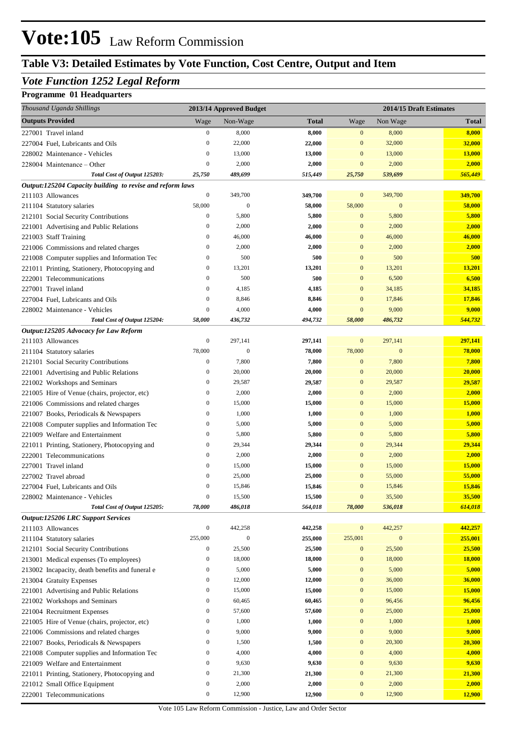## **Table V3: Detailed Estimates by Vote Function, Cost Centre, Output and Item**

### *Vote Function 1252 Legal Reform*

### **Programme 01 Headquarters**

| Thousand Uganda Shillings                                                    |                                      | 2013/14 Approved Budget |                  |                        |                  | 2014/15 Draft Estimates |
|------------------------------------------------------------------------------|--------------------------------------|-------------------------|------------------|------------------------|------------------|-------------------------|
| <b>Outputs Provided</b>                                                      | Wage                                 | Non-Wage                | <b>Total</b>     | Wage                   | Non Wage         | <b>Total</b>            |
| 227001 Travel inland                                                         | $\boldsymbol{0}$                     | 8,000                   | 8,000            | $\bf{0}$               | 8,000            | 8,000                   |
| 227004 Fuel, Lubricants and Oils                                             | $\boldsymbol{0}$                     | 22,000                  | 22,000           | $\mathbf{0}$           | 32,000           | 32,000                  |
| 228002 Maintenance - Vehicles                                                | $\boldsymbol{0}$                     | 13,000                  | 13,000           | $\mathbf{0}$           | 13,000           | 13,000                  |
| 228004 Maintenance – Other                                                   | $\boldsymbol{0}$                     | 2,000                   | 2,000            | $\mathbf{0}$           | 2,000            | 2,000                   |
| Total Cost of Output 125203:                                                 | 25,750                               | 489,699                 | 515,449          | 25,750                 | 539,699          | 565,449                 |
| Output:125204 Capacity building to revise and reform laws                    |                                      |                         |                  |                        |                  |                         |
| 211103 Allowances                                                            | $\boldsymbol{0}$                     | 349,700                 | 349,700          | $\mathbf{0}$           | 349,700          | 349,700                 |
| 211104 Statutory salaries                                                    | 58,000                               | $\mathbf{0}$            | 58,000           | 58,000                 | $\boldsymbol{0}$ | 58,000                  |
| 212101 Social Security Contributions                                         | $\boldsymbol{0}$                     | 5,800                   | 5,800            | $\mathbf{0}$           | 5,800            | 5,800                   |
| 221001 Advertising and Public Relations                                      | $\boldsymbol{0}$                     | 2,000                   | 2,000            | $\mathbf{0}$           | 2,000            | 2,000                   |
| 221003 Staff Training                                                        | $\boldsymbol{0}$                     | 46,000                  | 46,000           | $\mathbf{0}$           | 46,000           | 46,000                  |
| 221006 Commissions and related charges                                       | $\boldsymbol{0}$                     | 2,000                   | 2,000            | $\mathbf{0}$           | 2,000            | 2,000                   |
| 221008 Computer supplies and Information Tec                                 | $\boldsymbol{0}$                     | 500                     | 500              | $\mathbf{0}$           | 500              | 500                     |
| 221011 Printing, Stationery, Photocopying and                                | $\boldsymbol{0}$                     | 13,201                  | 13,201           | $\mathbf{0}$           | 13,201           | 13,201                  |
| 222001 Telecommunications                                                    | $\boldsymbol{0}$                     | 500                     | 500              | $\mathbf{0}$           | 6,500            | 6,500                   |
| 227001 Travel inland                                                         | $\boldsymbol{0}$                     | 4,185                   | 4,185            | $\mathbf{0}$           | 34,185           | 34,185                  |
| 227004 Fuel, Lubricants and Oils                                             | $\boldsymbol{0}$                     | 8,846                   | 8,846            | $\mathbf{0}$           | 17,846           | 17,846                  |
| 228002 Maintenance - Vehicles                                                | $\boldsymbol{0}$<br>58,000           | 4,000<br>436,732        | 4,000<br>494,732 | $\mathbf{0}$<br>58,000 | 9,000<br>486,732 | 9,000<br>544,732        |
| Total Cost of Output 125204:<br><b>Output:125205 Advocacy for Law Reform</b> |                                      |                         |                  |                        |                  |                         |
| 211103 Allowances                                                            | $\boldsymbol{0}$                     | 297,141                 | 297,141          | $\mathbf{0}$           | 297,141          | 297,141                 |
| 211104 Statutory salaries                                                    | 78,000                               | $\boldsymbol{0}$        | 78,000           | 78,000                 | $\boldsymbol{0}$ | 78,000                  |
| 212101 Social Security Contributions                                         | $\boldsymbol{0}$                     | 7,800                   | 7,800            | $\mathbf{0}$           | 7,800            | 7,800                   |
| 221001 Advertising and Public Relations                                      | $\boldsymbol{0}$                     | 20,000                  | 20,000           | $\mathbf{0}$           | 20,000           | 20,000                  |
| 221002 Workshops and Seminars                                                | $\boldsymbol{0}$                     | 29,587                  | 29,587           | $\mathbf{0}$           | 29,587           | 29,587                  |
| 221005 Hire of Venue (chairs, projector, etc)                                | $\boldsymbol{0}$                     | 2,000                   | 2,000            | $\mathbf{0}$           | 2,000            | 2,000                   |
| 221006 Commissions and related charges                                       | $\boldsymbol{0}$                     | 15,000                  | 15,000           | $\mathbf{0}$           | 15,000           | 15,000                  |
| 221007 Books, Periodicals & Newspapers                                       | $\boldsymbol{0}$                     | 1,000                   | 1,000            | $\mathbf{0}$           | 1,000            | 1,000                   |
| 221008 Computer supplies and Information Tec                                 | $\boldsymbol{0}$                     | 5,000                   | 5,000            | $\mathbf{0}$           | 5,000            | 5,000                   |
| 221009 Welfare and Entertainment                                             | $\boldsymbol{0}$                     | 5,800                   | 5,800            | $\mathbf{0}$           | 5,800            | 5,800                   |
| 221011 Printing, Stationery, Photocopying and                                | $\boldsymbol{0}$                     | 29,344                  | 29,344           | $\mathbf{0}$           | 29,344           | 29,344                  |
| 222001 Telecommunications                                                    | $\boldsymbol{0}$                     | 2,000                   | 2,000            | $\mathbf{0}$           | 2,000            | 2,000                   |
| 227001 Travel inland                                                         | $\boldsymbol{0}$                     | 15,000                  | 15,000           | $\mathbf{0}$           | 15,000           | 15,000                  |
| 227002 Travel abroad                                                         | $\boldsymbol{0}$                     | 25,000                  | 25,000           | $\mathbf{0}$           | 55,000           | 55,000                  |
| 227004 Fuel, Lubricants and Oils                                             | $\overline{0}$                       | 15,846                  | 15,846           | $\mathbf{0}$           | 15,846           | 15,846                  |
| 228002 Maintenance - Vehicles                                                | $\boldsymbol{0}$                     | 15,500                  | 15,500           | $\boldsymbol{0}$       | 35,500           | 35,500                  |
| Total Cost of Output 125205:                                                 | 78,000                               | 486,018                 | 564,018          | 78,000                 | 536,018          | 614,018                 |
| <b>Output:125206 LRC Support Services</b>                                    |                                      |                         |                  |                        |                  |                         |
| 211103 Allowances                                                            | $\boldsymbol{0}$                     | 442,258                 | 442,258          | $\bf{0}$               | 442,257          | 442,257                 |
| 211104 Statutory salaries                                                    | 255,000                              | $\boldsymbol{0}$        | 255,000          | 255,001                | $\bf{0}$         | 255,001                 |
| 212101 Social Security Contributions                                         | $\boldsymbol{0}$                     | 25,500                  | 25,500           | $\bf{0}$               | 25,500           | 25,500                  |
| 213001 Medical expenses (To employees)                                       | $\boldsymbol{0}$                     | 18,000                  | 18,000           | $\boldsymbol{0}$       | 18,000           | <b>18,000</b>           |
| 213002 Incapacity, death benefits and funeral e                              | $\boldsymbol{0}$                     | 5,000                   | 5,000            | $\boldsymbol{0}$       | 5,000            | 5,000                   |
| 213004 Gratuity Expenses                                                     | $\boldsymbol{0}$                     | 12,000                  | 12,000           | $\boldsymbol{0}$       | 36,000           | 36,000                  |
| 221001 Advertising and Public Relations                                      | $\boldsymbol{0}$                     | 15,000                  | 15,000           | $\boldsymbol{0}$       | 15,000           | 15,000                  |
| 221002 Workshops and Seminars                                                | $\boldsymbol{0}$                     | 60,465                  | 60,465           | $\boldsymbol{0}$       | 96,456           | 96,456                  |
| 221004 Recruitment Expenses                                                  | $\boldsymbol{0}$                     | 57,600                  | 57,600           | $\boldsymbol{0}$       | 25,000           | 25,000                  |
| 221005 Hire of Venue (chairs, projector, etc)                                | $\boldsymbol{0}$                     | 1,000                   | 1,000            | $\boldsymbol{0}$       | 1,000            | 1,000                   |
| 221006 Commissions and related charges                                       | $\boldsymbol{0}$                     | 9,000                   | 9,000            | $\boldsymbol{0}$       | 9,000            | 9,000                   |
| 221007 Books, Periodicals & Newspapers                                       | $\boldsymbol{0}$                     | 1,500                   | 1,500            | $\boldsymbol{0}$       | 20,300           | 20,300                  |
| 221008 Computer supplies and Information Tec                                 | $\boldsymbol{0}$                     | 4,000                   | 4,000            | $\boldsymbol{0}$       | 4,000            | 4,000                   |
| 221009 Welfare and Entertainment                                             | $\boldsymbol{0}$                     | 9,630                   | 9,630            | $\mathbf{0}$           | 9,630            | 9,630                   |
| 221011 Printing, Stationery, Photocopying and                                | $\boldsymbol{0}$                     | 21,300                  | 21,300           | $\boldsymbol{0}$       | 21,300           | 21,300                  |
| 221012 Small Office Equipment                                                | $\boldsymbol{0}$<br>$\boldsymbol{0}$ | 2,000                   | 2,000            | $\boldsymbol{0}$       | 2,000            | 2,000                   |
| 222001 Telecommunications                                                    |                                      | 12,900                  | 12,900           | $\boldsymbol{0}$       | 12,900           | 12,900                  |